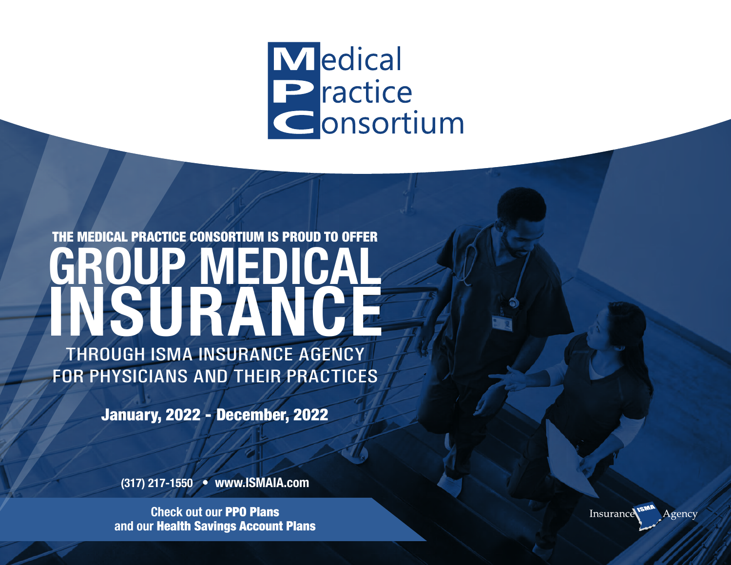## Medical Practice Consortium

# THE MEDICAL PRACTICE CONSORTIUM IS PROUD TO OFFER **GROUP MEDICAL ISURAN**

THROUGH ISMA INSURANCE AGENCY FOR PHYSICIANS AND THEIR PRACTICES

January, 2022 - December, 2022

**(317) 217-1550 • www.ISMAIA.com**

**Check out our** PPO Plans **and our** Health Savings Account Plans

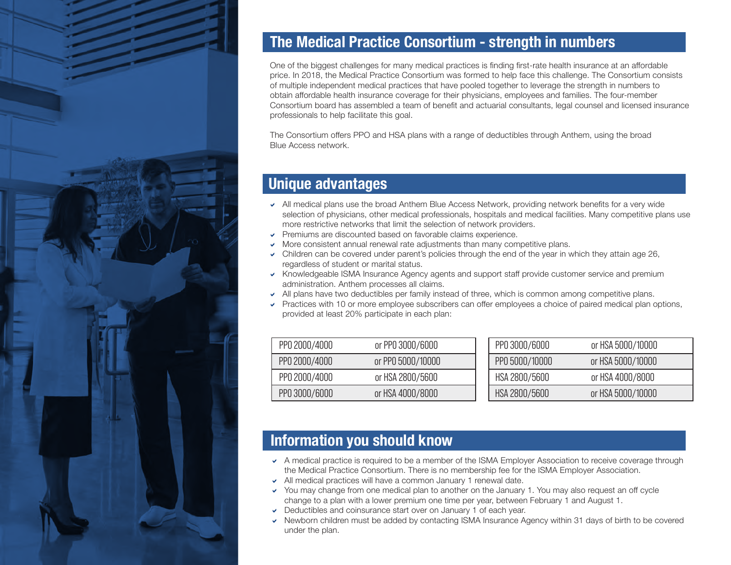

## **The Medical Practice Consortium - strength in numbers**

One of the biggest challenges for many medical practices is finding first-rate health insurance at an affordable price. In 2018, the Medical Practice Consortium was formed to help face this challenge. The Consortium consists of multiple independent medical practices that have pooled together to leverage the strength in numbers to obtain affordable health insurance coverage for their physicians, employees and families. The four-member Consortium board has assembled a team of benefit and actuarial consultants, legal counsel and licensed insurance professionals to help facilitate this goal.

The Consortium offers PPO and HSA plans with a range of deductibles through Anthem, using the broad Blue Access network.

## **Unique advantages**

- $\sim$  All medical plans use the broad Anthem Blue Access Network, providing network benefits for a very wide selection of physicians, other medical professionals, hospitals and medical facilities. Many competitive plans use more restrictive networks that limit the selection of network providers.
- $\triangleright$  Premiums are discounted based on favorable claims experience.
- $\triangleright$  More consistent annual renewal rate adjustments than many competitive plans.
- $\triangleright$  Children can be covered under parent's policies through the end of the year in which they attain age 26, regardless of student or marital status.
- a Knowledgeable ISMA Insurance Agency agents and support staff provide customer service and premium administration. Anthem processes all claims.
- $\sim$  All plans have two deductibles per family instead of three, which is common among competitive plans.
- $\triangledown$  Practices with 10 or more employee subscribers can offer employees a choice of paired medical plan options, provided at least 20% participate in each plan: page 2

| PP0 2000/4000 | or PPO 3000/6000  | PP0 3000/6000  | or HSA 5000/10000 |
|---------------|-------------------|----------------|-------------------|
| PP0 2000/4000 | or PP0 5000/10000 | PP0 5000/10000 | or HSA 5000/10000 |
| PP0 2000/4000 | or HSA 2800/5600  | HSA 2800/5600  | or HSA 4000/8000  |
| PP0 3000/6000 | or HSA 4000/8000  | HSA 2800/5600  | or HSA 5000/10000 |

## **Information you should know**

- A medical practice is required to be a member of the ISMA Employer Association to receive coverage through the Medical Practice Consortium. There is no membership fee for the ISMA Employer Association.
- $\sim$  All medical practices will have a common January 1 renewal date.
- → You may change from one medical plan to another on the January 1. You may also request an off cycle → You may change from one medical plan to another on the January 1. You may also request an off cycle change to a plan with a lower premium one time per year, between February 1 and August 1. an with a lower premium one time per y
- $\triangleright$  Deductibles and coinsurance start over on January 1 of each year.
- Newborn children must be added by contacting ISMA Insurance Agency within 31 days of birth to be covered under the plan. Retail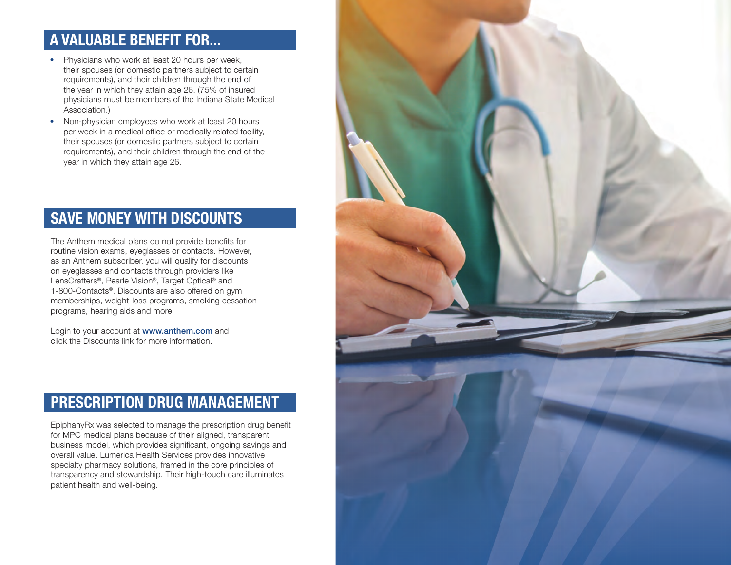## **A VALUABLE BENEFIT FOR...**

- Physicians who work at least 20 hours per week, their spouses (or domestic partners subject to certain requirements), and their children through the end of the year in which they attain age 26. (75% of insured physicians must be members of the Indiana State Medical Association.)
- Non-physician employees who work at least 20 hours per week in a medical office or medically related facility, their spouses (or domestic partners subject to certain requirements), and their children through the end of the year in which they attain age 26.

## **SAVE MONEY WITH DISCOUNTS**

The Anthem medical plans do not provide benefits for routine vision exams, eyeglasses or contacts. However, as an Anthem subscriber, you will qualify for discounts on eyeglasses and contacts through providers like LensCrafters®, Pearle Vision®, Target Optical® and 1-800-Contacts®. Discounts are also offered on gym memberships, weight-loss programs, smoking cessation programs, hearing aids and more.

Login to your account at www.anthem.com and click the Discounts link for more information.

## **PRESCRIPTION DRUG MANAGEMENT**

EpiphanyRx was selected to manage the prescription drug benefit for MPC medical plans because of their aligned, transparent business model, which provides significant, ongoing savings and overall value. Lumerica Health Services provides innovative specialty pharmacy solutions, framed in the core principles of transparency and stewardship. Their high-touch care illuminates patient health and well-being.

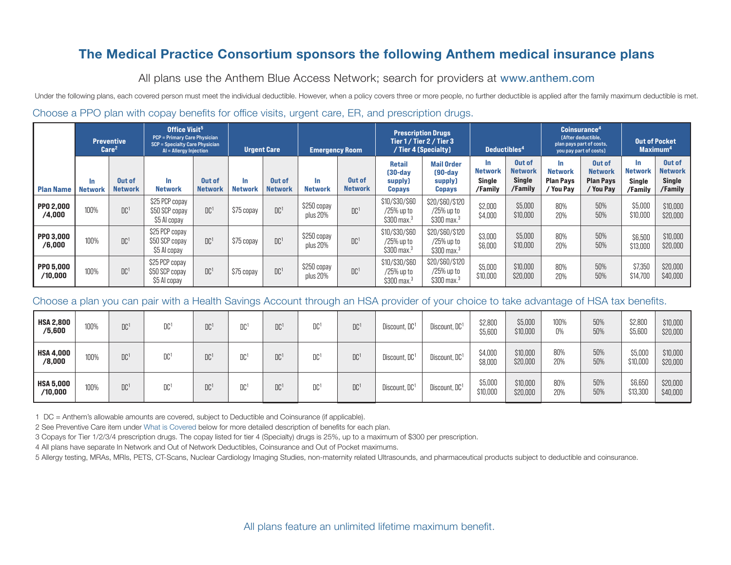## The Medical Practice Consortium sponsors the following Anthem medical insurance plans

All plans use the Anthem Blue Access Network; search for providers at www.anthem.com

Under the following plans, each covered person must meet the individual deductible. However, when a policy covers three or more people, no further deductible is applied after the family maximum deductible is met. Choose a PPO plan with copay benefits for office visits, urgent care, ER, and prescription drugs.

|                             | <b>Preventive</b><br>Care <sup>2</sup> |                          | Office Visit <sup>5</sup><br><b>PCP = Primary Care Physician</b><br><b>SCP = Specialty Care Physician</b><br>$AI = Allergy Injection$  |                          | <b>Urgent Care</b>    |                          | <b>Emergency Room</b>   |                                 | <b>Prescription Drugs</b><br>Tier 1 / Tier 2 / Tier 3<br>/ Tier 4 (Specialty) |                                                             | Deductibles <sup>4</sup>                          |                                                      | Coinsurance <sup>4</sup><br><b>[After deductible.</b><br>plan pays part of costs,<br>you pay part of costs) |                                                           | <b>Out of Pocket</b><br>Maximum <sup>4</sup>      |                                                      |
|-----------------------------|----------------------------------------|--------------------------|----------------------------------------------------------------------------------------------------------------------------------------|--------------------------|-----------------------|--------------------------|-------------------------|---------------------------------|-------------------------------------------------------------------------------|-------------------------------------------------------------|---------------------------------------------------|------------------------------------------------------|-------------------------------------------------------------------------------------------------------------|-----------------------------------------------------------|---------------------------------------------------|------------------------------------------------------|
| <b>Plan Name</b>            | In.<br><b>Network</b>                  | Out of<br><b>Network</b> | $\ln$<br><b>Network</b>                                                                                                                | Out of<br><b>Network</b> | In.<br><b>Network</b> | Out of<br><b>Network</b> | In.<br><b>Network</b>   | <b>Out of</b><br><b>Network</b> | <b>Retail</b><br>$[30-dav]$<br>supply)<br><b>Copays</b>                       | <b>Mail Order</b><br>$[90-day]$<br>supply)<br><b>Copays</b> | In.<br><b>Network</b><br><b>Single</b><br>/Family | Out of<br><b>Network</b><br><b>Single</b><br>/Family | In.<br><b>Network</b><br><b>Plan Pavs</b><br>/ You Pav                                                      | Out of<br><b>Network</b><br><b>Plan Pays</b><br>/ You Pay | In.<br><b>Network</b><br><b>Single</b><br>/Family | Out of<br><b>Network</b><br><b>Single</b><br>/Family |
| <b>PP0 2,000</b><br>/4,000  | 100%                                   | DC <sup>1</sup>          | \$25 PCP copay<br>\$50 SCP copay<br>\$5 Al copay                                                                                       | DC <sup>1</sup>          | \$75 copay            | DC <sup>1</sup>          | \$250 copay<br>plus 20% | DC <sup>1</sup>                 | \$10/\$30/\$60<br>/25% up to<br>$$300$ max. <sup>3</sup>                      | \$20/\$60/\$120<br>/25% up to<br>$$300$ max. <sup>3</sup>   | \$2,000<br>\$4,000                                | \$5,000<br>\$10,000                                  | 80%<br>20%                                                                                                  | 50%<br>50%                                                | \$5,000<br>\$10,000                               | \$10,000<br>\$20,000                                 |
| PP0 3.000<br>/6,000         | 100%                                   | DC <sup>1</sup>          | \$25 PCP copay<br>\$50 SCP copay<br>\$5 Al copay                                                                                       | DC <sup>1</sup>          | \$75 copay            | DC <sup>1</sup>          | \$250 copay<br>plus 20% | DC <sup>1</sup>                 | \$10/\$30/\$60<br>/25% up to<br>$$300$ max. <sup>3</sup>                      | \$20/\$60/\$120<br>/25% up to<br>\$300 max. <sup>3</sup>    | \$3,000<br>\$6,000                                | \$5,000<br>\$10,000                                  | 80%<br>20%                                                                                                  | 50%<br>50%                                                | \$6,500<br>\$13,000                               | \$10,000<br>\$20,000                                 |
| PP0 5.000<br>/10,000        | 100%                                   | DC <sup>1</sup>          | \$25 PCP copay<br>\$50 SCP copay<br>\$5 Al copay                                                                                       | DC <sup>1</sup>          | \$75 copay            | DC <sup>1</sup>          | \$250 copay<br>plus 20% | DC <sup>1</sup>                 | \$10/\$30/\$60<br>/25% up to<br>$$300$ max. <sup>3</sup>                      | \$20/\$60/\$120<br>/25% up to<br>$$300$ max. <sup>3</sup>   | \$5,000<br>\$10,000                               | \$10,000<br>\$20,000                                 | 80%<br>20%                                                                                                  | 50%<br>50%                                                | \$7,350<br>\$14,700                               | \$20,000<br>\$40,000                                 |
|                             |                                        |                          | Choose a plan you can pair with a Health Savings Account through an HSA provider of your choice to take advantage of HSA tax benefits. |                          |                       |                          |                         |                                 |                                                                               |                                                             |                                                   |                                                      |                                                                                                             |                                                           |                                                   |                                                      |
| <b>HSA 2,800</b><br>/5,600  | 100%                                   | DC <sup>1</sup>          | DC <sup>1</sup>                                                                                                                        | DC <sup>1</sup>          | DC <sup>1</sup>       | DC <sup>1</sup>          | DC <sup>1</sup>         | DC <sup>1</sup>                 | Discount, DC1                                                                 | Discount, DC1                                               | \$2,800<br>\$5,600                                | \$5,000<br>\$10,000                                  | 100%<br>0%                                                                                                  | 50%<br>50%                                                | \$2,800<br>\$5,600                                | \$10,000<br>\$20,000                                 |
| <b>HSA 4.000</b><br>/8,000  | 100%                                   | DC <sup>1</sup>          | DC <sup>1</sup>                                                                                                                        | DC <sup>1</sup>          | DC <sup>1</sup>       | DC <sup>1</sup>          | DC <sup>1</sup>         | DC <sup>1</sup>                 | Discount, DC <sup>1</sup>                                                     | Discount, DC <sup>1</sup>                                   | \$4,000<br>\$8,000                                | \$10,000<br>\$20,000                                 | 80%<br>20%                                                                                                  | 50%<br>50%                                                | \$5,000<br>\$10,000                               | \$10,000<br>\$20,000                                 |
| <b>HSA 5,000</b><br>/10,000 | 100%                                   | DC <sup>1</sup>          | DC <sup>1</sup>                                                                                                                        | DC <sup>1</sup>          | DC <sup>1</sup>       | DC <sup>1</sup>          | DC <sup>1</sup>         | DC <sup>1</sup>                 | Discount, DC <sup>1</sup>                                                     | Discount, DC1                                               | \$5,000<br>\$10,000                               | \$10,000<br>\$20,000                                 | 80%<br>20%                                                                                                  | 50%<br>50%                                                | \$6,650<br>\$13,300                               | \$20,000<br>\$40,000                                 |

| /4,000                      | IUU% | UU'             | <b>S50 SCP copay</b><br>\$5 AI copay                                                                                                   | UU'             | <b>D</b> CODAY  | UU'             | plus 20%                | UU'             | /25% up to<br>$$300$ max. <sup>3</sup>                   | /25% up to<br>$$300$ max. <sup>3</sup>                    | \$4,000             | \$10,000             | 20%           | 50%        | \$10,000            | \$20,000             |
|-----------------------------|------|-----------------|----------------------------------------------------------------------------------------------------------------------------------------|-----------------|-----------------|-----------------|-------------------------|-----------------|----------------------------------------------------------|-----------------------------------------------------------|---------------------|----------------------|---------------|------------|---------------------|----------------------|
| <b>PPO 3,000</b><br>/6,000  | 100% | DC <sup>1</sup> | \$25 PCP copay<br>\$50 SCP copay<br>\$5 Al copay                                                                                       | DC <sup>1</sup> | \$75 copay      | DC <sup>1</sup> | \$250 copay<br>plus 20% | DC <sup>1</sup> | \$10/\$30/\$60<br>/25% up to<br>$$300$ max. <sup>3</sup> | \$20/\$60/\$120<br>/25% up to<br>$$300$ max. <sup>3</sup> | \$3,000<br>\$6,000  | \$5,000<br>\$10,000  | 80%<br>20%    | 50%<br>50% | \$6,500<br>\$13,000 | \$10,000<br>\$20,000 |
| <b>PPO 5,000</b><br>/10,000 | 100% | DC <sup>1</sup> | \$25 PCP copay<br>\$50 SCP copay<br>\$5 AI copay                                                                                       | DC <sup>1</sup> | \$75 copay      | DC <sup>1</sup> | \$250 copay<br>plus 20% | DC <sup>1</sup> | \$10/\$30/\$60<br>/25% up to<br>$$300$ max. <sup>3</sup> | \$20/\$60/\$120<br>/25% up to<br>$$300$ max. <sup>3</sup> | \$5,000<br>\$10,000 | \$10,000<br>\$20,000 | 80%<br>20%    | 50%<br>50% | \$7,350<br>\$14,700 | \$20,000<br>\$40,000 |
|                             |      |                 |                                                                                                                                        |                 |                 |                 |                         |                 |                                                          |                                                           |                     |                      |               |            |                     |                      |
|                             |      |                 | Choose a plan you can pair with a Health Savings Account through an HSA provider of your choice to take advantage of HSA tax benefits. |                 |                 |                 |                         |                 |                                                          |                                                           |                     |                      |               |            |                     |                      |
| <b>HSA 2,800</b><br>/5,600  | 100% | DC <sup>1</sup> | DC <sup>1</sup>                                                                                                                        | DC <sup>1</sup> | DC <sup>1</sup> | DC <sup>1</sup> | DC <sup>1</sup>         | DC <sup>1</sup> | Discount, DC1                                            | Discount, DC1                                             | \$2,800<br>\$5,600  | \$5,000<br>\$10,000  | 100%<br>$0\%$ | 50%<br>50% | \$2,800<br>\$5,600  | \$10,000<br>\$20,000 |
| <b>HSA 4,000</b><br>/8,000  | 100% | DC <sup>1</sup> | DC <sup>1</sup>                                                                                                                        | DC <sup>1</sup> | DC <sup>1</sup> | DC <sup>1</sup> | DC <sup>1</sup>         | DC <sup>1</sup> | Discount, DC1                                            | Discount, DC1                                             | \$4,000<br>\$8,000  | \$10,000<br>\$20,000 | 80%<br>20%    | 50%<br>50% | \$5,000<br>\$10,000 | \$10,000<br>\$20,000 |

1 DC = Anthem's allowable amounts are covered, subject to Deductible and Coinsurance (if applicable).

2 See Preventive Care item under What is Covered below for more detailed description of benefits for each plan.

3 Copays for Tier 1/2/3/4 prescription drugs. The copay listed for tier 4 (Specialty) drugs is 25%, up to a maximum of \$300 per prescription.

4 All plans have separate In Network and Out of Network Deductibles, Coinsurance and Out of Pocket maximums.

5 Allergy testing, MRAs, MRIs, PETS, CT-Scans, Nuclear Cardiology Imaging Studies, non-maternity related Ultrasounds, and pharmaceutical products subject to deductible and coinsurance.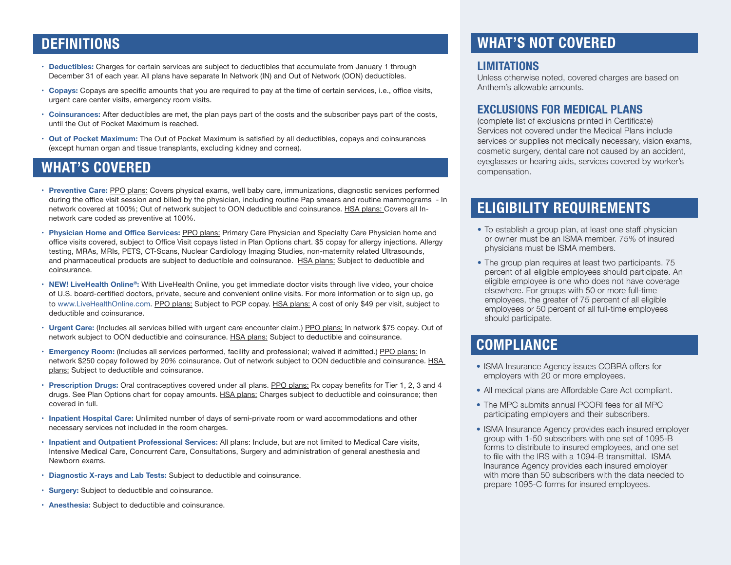## **DEFINITIONS**

- **• Deductibles:** Charges for certain services are subject to deductibles that accumulate from January 1 through December 31 of each year. All plans have separate In Network (IN) and Out of Network (OON) deductibles.
- **• Copays:** Copays are specific amounts that you are required to pay at the time of certain services, i.e., office visits, urgent care center visits, emergency room visits.
- **• Coinsurances:** After deductibles are met, the plan pays part of the costs and the subscriber pays part of the costs, until the Out of Pocket Maximum is reached.
- **• Out of Pocket Maximum:** The Out of Pocket Maximum is satisfied by all deductibles, copays and coinsurances (except human organ and tissue transplants, excluding kidney and cornea).

## **WHAT'S COVERED**

- **• Preventive Care:** PPO plans: Covers physical exams, well baby care, immunizations, diagnostic services performed during the office visit session and billed by the physician, including routine Pap smears and routine mammograms - In network covered at 100%; Out of network subject to OON deductible and coinsurance. HSA plans: Covers all Innetwork care coded as preventive at 100%.
- **Physician Home and Office Services: PPO plans: Primary Care Physician and Specialty Care Physician home and** office visits covered, subject to Office Visit copays listed in Plan Options chart. \$5 copay for allergy injections. Allergy testing, MRAs, MRIs, PETS, CT-Scans, Nuclear Cardiology Imaging Studies, non-maternity related Ultrasounds, and pharmaceutical products are subject to deductible and coinsurance. HSA plans: Subject to deductible and coinsurance.
- **• NEW! LiveHealth Online®:** With LiveHealth Online, you get immediate doctor visits through live video, your choice of U.S. board-certified doctors, private, secure and convenient online visits. For more information or to sign up, go to www.LiveHealthOnline.com. PPO plans: Subject to PCP copay. HSA plans: A cost of only \$49 per visit, subject to deductible and coinsurance.
- **• Urgent Care:** (Includes all services billed with urgent care encounter claim.) PPO plans: In network \$75 copay. Out of network subject to OON deductible and coinsurance. HSA plans: Subject to deductible and coinsurance.
- **• Emergency Room:** (Includes all services performed, facility and professional; waived if admitted.) PPO plans: In network \$250 copay followed by 20% coinsurance. Out of network subject to OON deductible and coinsurance. HSA plans: Subject to deductible and coinsurance.
- **• Prescription Drugs:** Oral contraceptives covered under all plans. PPO plans: Rx copay benefits for Tier 1, 2, 3 and 4 drugs. See Plan Options chart for copay amounts. HSA plans: Charges subject to deductible and coinsurance; then covered in full.
- **• Inpatient Hospital Care:** Unlimited number of days of semi-private room or ward accommodations and other necessary services not included in the room charges.
- **• Inpatient and Outpatient Professional Services:** All plans: Include, but are not limited to Medical Care visits, Intensive Medical Care, Concurrent Care, Consultations, Surgery and administration of general anesthesia and Newborn exams.
- **• Diagnostic X-rays and Lab Tests:** Subject to deductible and coinsurance.
- **• Surgery:** Subject to deductible and coinsurance.
- **• Anesthesia:** Subject to deductible and coinsurance.

## **WHAT'S NOT COVERED**

#### **LIMITATIONS**

Unless otherwise noted, covered charges are based on Anthem's allowable amounts.

#### **EXCLUSIONS FOR MEDICAL PLANS**

(complete list of exclusions printed in Certificate) Services not covered under the Medical Plans include services or supplies not medically necessary, vision exams, cosmetic surgery, dental care not caused by an accident, eyeglasses or hearing aids, services covered by worker's compensation.

## **ELIGIBILITY REQUIREMENTS**

- To establish a group plan, at least one staff physician or owner must be an ISMA member. 75% of insured physicians must be ISMA members.
- The group plan requires at least two participants. 75 percent of all eligible employees should participate. An eligible employee is one who does not have coverage elsewhere. For groups with 50 or more full-time employees, the greater of 75 percent of all eligible employees or 50 percent of all full-time employees should participate.

## **COMPLIANCE**

- ISMA Insurance Agency issues COBRA offers for employers with 20 or more employees.
- All medical plans are Affordable Care Act compliant.
- The MPC submits annual PCORI fees for all MPC participating employers and their subscribers.
- ISMA Insurance Agency provides each insured employer group with 1-50 subscribers with one set of 1095-B forms to distribute to insured employees, and one set to file with the IRS with a 1094-B transmittal. ISMA Insurance Agency provides each insured employer with more than 50 subscribers with the data needed to prepare 1095-C forms for insured employees.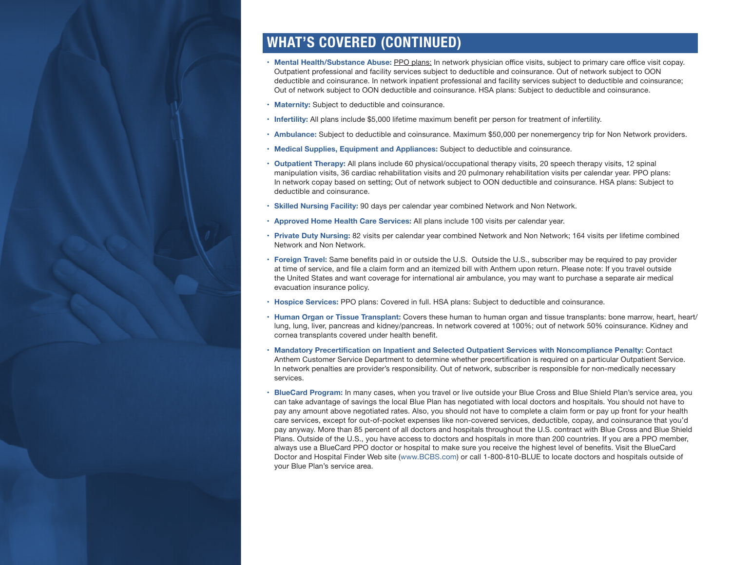## **WHAT'S COVERED (CONTINUED)**

- **• Mental Health/Substance Abuse:** PPO plans: In network physician office visits, subject to primary care office visit copay. Outpatient professional and facility services subject to deductible and coinsurance. Out of network subject to OON deductible and coinsurance. In network inpatient professional and facility services subject to deductible and coinsurance; Out of network subject to OON deductible and coinsurance. HSA plans: Subject to deductible and coinsurance.
- **• Maternity:** Subject to deductible and coinsurance.
- **• Infertility:** All plans include \$5,000 lifetime maximum benefit per person for treatment of infertility.
- **• Ambulance:** Subject to deductible and coinsurance. Maximum \$50,000 per nonemergency trip for Non Network providers.
- **• Medical Supplies, Equipment and Appliances:** Subject to deductible and coinsurance.
- **• Outpatient Therapy:** All plans include 60 physical/occupational therapy visits, 20 speech therapy visits, 12 spinal manipulation visits, 36 cardiac rehabilitation visits and 20 pulmonary rehabilitation visits per calendar year. PPO plans: In network copay based on setting; Out of network subject to OON deductible and coinsurance. HSA plans: Subject to deductible and coinsurance.
- **• Skilled Nursing Facility:** 90 days per calendar year combined Network and Non Network.
- **• Approved Home Health Care Services:** All plans include 100 visits per calendar year.
- **• Private Duty Nursing:** 82 visits per calendar year combined Network and Non Network; 164 visits per lifetime combined Network and Non Network.
- **• Foreign Travel:** Same benefits paid in or outside the U.S. Outside the U.S., subscriber may be required to pay provider at time of service, and file a claim form and an itemized bill with Anthem upon return. Please note: If you travel outside the United States and want coverage for international air ambulance, you may want to purchase a separate air medical evacuation insurance policy.
- **• Hospice Services:** PPO plans: Covered in full. HSA plans: Subject to deductible and coinsurance.
- **• Human Organ or Tissue Transplant:** Covers these human to human organ and tissue transplants: bone marrow, heart, heart/ lung, lung, liver, pancreas and kidney/pancreas. In network covered at 100%; out of network 50% coinsurance. Kidney and cornea transplants covered under health benefit.
- **• Mandatory Precertification on Inpatient and Selected Outpatient Services with Noncompliance Penalty:** Contact Anthem Customer Service Department to determine whether precertification is required on a particular Outpatient Service. In network penalties are provider's responsibility. Out of network, subscriber is responsible for non-medically necessary services.
- **• BlueCard Program:** In many cases, when you travel or live outside your Blue Cross and Blue Shield Plan's service area, you can take advantage of savings the local Blue Plan has negotiated with local doctors and hospitals. You should not have to pay any amount above negotiated rates. Also, you should not have to complete a claim form or pay up front for your health care services, except for out-of-pocket expenses like non-covered services, deductible, copay, and coinsurance that you'd pay anyway. More than 85 percent of all doctors and hospitals throughout the U.S. contract with Blue Cross and Blue Shield Plans. Outside of the U.S., you have access to doctors and hospitals in more than 200 countries. If you are a PPO member, always use a BlueCard PPO doctor or hospital to make sure you receive the highest level of benefits. Visit the BlueCard Doctor and Hospital Finder Web site (www.BCBS.com) or call 1-800-810-BLUE to locate doctors and hospitals outside of your Blue Plan's service area.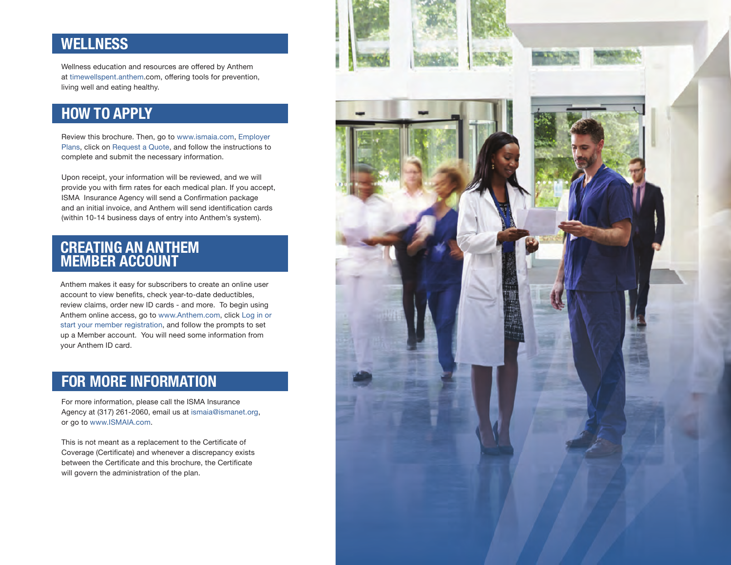## **WELLNESS**

Wellness education and resources are offered by Anthem at timewellspent.anthem.com, offering tools for prevention, living well and eating healthy.

## **HOW TO APPLY**

Review this brochure. Then, go to www.ismaia.com, Employer Plans, click on Request a Quote, and follow the instructions to complete and submit the necessary information.

Upon receipt, your information will be reviewed, and we will provide you with firm rates for each medical plan. If you accept, ISMA Insurance Agency will send a Confirmation package and an initial invoice, and Anthem will send identification cards (within 10-14 business days of entry into Anthem's system).

### **CREATING AN ANTHEM MEMBER ACCOUNT**

Anthem makes it easy for subscribers to create an online user account to view benefits, check year-to-date deductibles, review claims, order new ID cards - and more. To begin using Anthem online access, go to www.Anthem.com, click Log in or start your member registration, and follow the prompts to set up a Member account. You will need some information from your Anthem ID card.

## **FOR MORE INFORMATION**

For more information, please call the ISMA Insurance Agency at (317) 261-2060, email us at ismaia@ismanet.org, or go to www.ISMAIA.com.

This is not meant as a replacement to the Certificate of Coverage (Certificate) and whenever a discrepancy exists between the Certificate and this brochure, the Certificate will govern the administration of the plan.